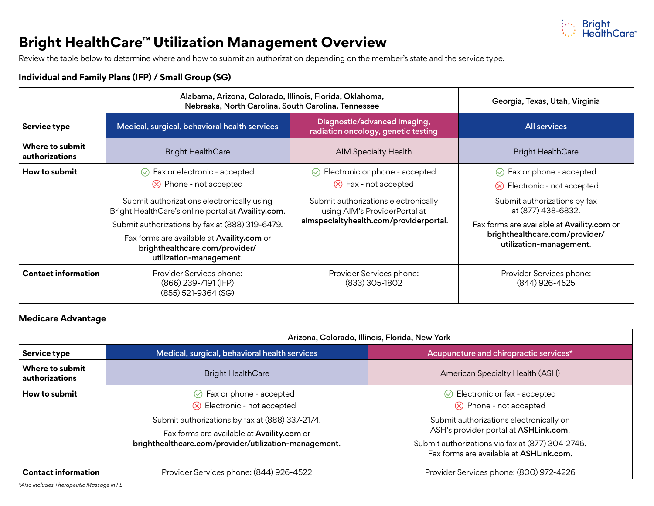

## **Bright HealthCare™ Utilization Management Overview**

Review the table below to determine where and how to submit an authorization depending on the member's state and the service type.

#### **Individual and Family Plans (IFP) / Small Group (SG)**

|                                   | Alabama, Arizona, Colorado, Illinois, Florida, Oklahoma,<br>Nebraska, North Carolina, South Carolina, Tennessee                                                                                                                                                                                                                          | Georgia, Texas, Utah, Virginia                                                                                                                                                            |                                                                                                                                                                                                                                         |
|-----------------------------------|------------------------------------------------------------------------------------------------------------------------------------------------------------------------------------------------------------------------------------------------------------------------------------------------------------------------------------------|-------------------------------------------------------------------------------------------------------------------------------------------------------------------------------------------|-----------------------------------------------------------------------------------------------------------------------------------------------------------------------------------------------------------------------------------------|
| <b>Service type</b>               | Medical, surgical, behavioral health services                                                                                                                                                                                                                                                                                            | Diagnostic/advanced imaging,<br>radiation oncology, genetic testing                                                                                                                       | <b>All services</b>                                                                                                                                                                                                                     |
| Where to submit<br>authorizations | <b>Bright HealthCare</b>                                                                                                                                                                                                                                                                                                                 | <b>AIM Specialty Health</b>                                                                                                                                                               | <b>Bright HealthCare</b>                                                                                                                                                                                                                |
| How to submit                     | $\odot$ Fax or electronic - accepted<br>$\otimes$ Phone - not accepted<br>Submit authorizations electronically using<br>Bright HealthCare's online portal at Availity.com.<br>Submit authorizations by fax at (888) 319-6479.<br>Fax forms are available at Availity.com or<br>brighthealthcare.com/provider/<br>utilization-management. | $\odot$ Electronic or phone - accepted<br>$\otimes$ Fax - not accepted<br>Submit authorizations electronically<br>using AIM's ProviderPortal at<br>aimspecialtyhealth.com/providerportal. | $\odot$ Fax or phone - accepted<br>$\otimes$ Electronic - not accepted<br>Submit authorizations by fax<br>at (877) 438-6832.<br>Fax forms are available at Availity.com or<br>brighthealthcare.com/provider/<br>utilization-management. |
| <b>Contact information</b>        | Provider Services phone:<br>(866) 239-7191 (IFP)<br>$(855)$ 521-9364 $(SG)$                                                                                                                                                                                                                                                              | Provider Services phone:<br>$(833)$ 305-1802                                                                                                                                              | Provider Services phone:<br>(844) 926-4525                                                                                                                                                                                              |

#### **Medicare Advantage**

|                                   | Arizona, Colorado, Illinois, Florida, New York                                                                                                                                                                                   |                                                                                                                                                                                                                                                                  |  |  |
|-----------------------------------|----------------------------------------------------------------------------------------------------------------------------------------------------------------------------------------------------------------------------------|------------------------------------------------------------------------------------------------------------------------------------------------------------------------------------------------------------------------------------------------------------------|--|--|
| Service type                      | Medical, surgical, behavioral health services                                                                                                                                                                                    | Acupuncture and chiropractic services*                                                                                                                                                                                                                           |  |  |
| Where to submit<br>authorizations | <b>Bright HealthCare</b>                                                                                                                                                                                                         | American Specialty Health (ASH)                                                                                                                                                                                                                                  |  |  |
| How to submit                     | $\odot$ Fax or phone - accepted<br>$\otimes$ Electronic - not accepted<br>Submit authorizations by fax at (888) 337-2174.<br>Fax forms are available at Availity.com or<br>brighthealthcare.com/provider/utilization-management. | $\odot$ Electronic or fax - accepted<br>$\otimes$ Phone - not accepted<br>Submit authorizations electronically on<br>ASH's provider portal at ASHLink.com.<br>Submit authorizations via fax at (877) 304-2746.<br>Fax forms are available at <b>ASHLink.com.</b> |  |  |
| <b>Contact information</b>        | Provider Services phone: (844) 926-4522                                                                                                                                                                                          | Provider Services phone: (800) 972-4226                                                                                                                                                                                                                          |  |  |

*\*Also includes Therapeutic Massage in FL*